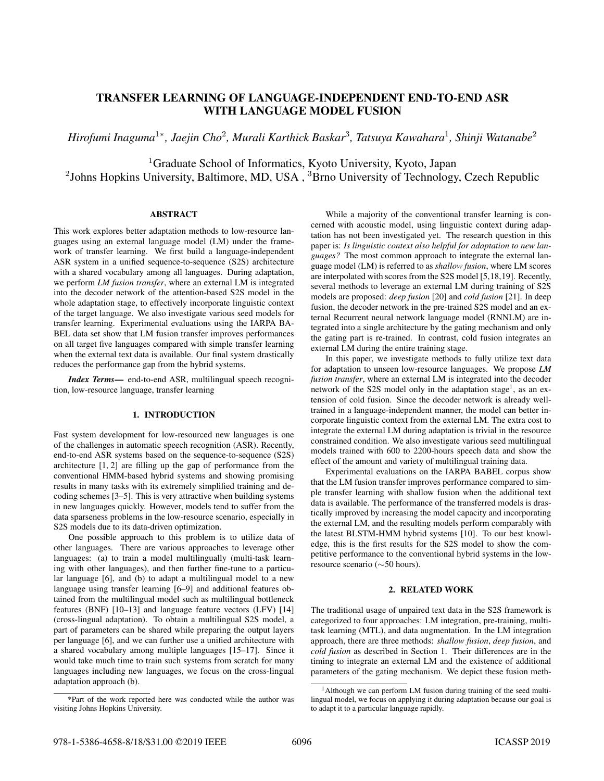# TRANSFER LEARNING OF LANGUAGE-INDEPENDENT END-TO-END ASR WITH LANGUAGE MODEL FUSION

*Hirofumi Inaguma*<sup>1</sup><sup>∗</sup> *, Jaejin Cho*<sup>2</sup> *, Murali Karthick Baskar*<sup>3</sup> *, Tatsuya Kawahara*<sup>1</sup> *, Shinji Watanabe*<sup>2</sup>

<sup>1</sup>Graduate School of Informatics, Kyoto University, Kyoto, Japan

<sup>2</sup>Johns Hopkins University, Baltimore, MD, USA, <sup>3</sup>Brno University of Technology, Czech Republic

# ABSTRACT

This work explores better adaptation methods to low-resource languages using an external language model (LM) under the framework of transfer learning. We first build a language-independent ASR system in a unified sequence-to-sequence (S2S) architecture with a shared vocabulary among all languages. During adaptation, we perform *LM fusion transfer*, where an external LM is integrated into the decoder network of the attention-based S2S model in the whole adaptation stage, to effectively incorporate linguistic context of the target language. We also investigate various seed models for transfer learning. Experimental evaluations using the IARPA BA-BEL data set show that LM fusion transfer improves performances on all target five languages compared with simple transfer learning when the external text data is available. Our final system drastically reduces the performance gap from the hybrid systems.

*Index Terms*— end-to-end ASR, multilingual speech recognition, low-resource language, transfer learning

# 1. INTRODUCTION

Fast system development for low-resourced new languages is one of the challenges in automatic speech recognition (ASR). Recently, end-to-end ASR systems based on the sequence-to-sequence (S2S) architecture [1, 2] are filling up the gap of performance from the conventional HMM-based hybrid systems and showing promising results in many tasks with its extremely simplified training and decoding schemes [3–5]. This is very attractive when building systems in new languages quickly. However, models tend to suffer from the data sparseness problems in the low-resource scenario, especially in S2S models due to its data-driven optimization.

One possible approach to this problem is to utilize data of other languages. There are various approaches to leverage other languages: (a) to train a model multilingually (multi-task learning with other languages), and then further fine-tune to a particular language [6], and (b) to adapt a multilingual model to a new language using transfer learning [6–9] and additional features obtained from the multilingual model such as multilingual bottleneck features (BNF) [10–13] and language feature vectors (LFV) [14] (cross-lingual adaptation). To obtain a multilingual S2S model, a part of parameters can be shared while preparing the output layers per language [6], and we can further use a unified architecture with a shared vocabulary among multiple languages [15–17]. Since it would take much time to train such systems from scratch for many languages including new languages, we focus on the cross-lingual adaptation approach (b).

While a majority of the conventional transfer learning is concerned with acoustic model, using linguistic context during adaptation has not been investigated yet. The research question in this paper is: *Is linguistic context also helpful for adaptation to new languages?* The most common approach to integrate the external language model (LM) is referred to as *shallow fusion*, where LM scores are interpolated with scores from the S2S model [5,18,19]. Recently, several methods to leverage an external LM during training of S2S models are proposed: *deep fusion* [20] and *cold fusion* [21]. In deep fusion, the decoder network in the pre-trained S2S model and an external Recurrent neural network language model (RNNLM) are integrated into a single architecture by the gating mechanism and only the gating part is re-trained. In contrast, cold fusion integrates an external LM during the entire training stage.

In this paper, we investigate methods to fully utilize text data for adaptation to unseen low-resource languages. We propose *LM fusion transfer*, where an external LM is integrated into the decoder network of the S2S model only in the adaptation stage<sup>1</sup>, as an extension of cold fusion. Since the decoder network is already welltrained in a language-independent manner, the model can better incorporate linguistic context from the external LM. The extra cost to integrate the external LM during adaptation is trivial in the resource constrained condition. We also investigate various seed multilingual models trained with 600 to 2200-hours speech data and show the effect of the amount and variety of multilingual training data.

Experimental evaluations on the IARPA BABEL corpus show that the LM fusion transfer improves performance compared to simple transfer learning with shallow fusion when the additional text data is available. The performance of the transferred models is drastically improved by increasing the model capacity and incorporating the external LM, and the resulting models perform comparably with the latest BLSTM-HMM hybrid systems [10]. To our best knowledge, this is the first results for the S2S model to show the competitive performance to the conventional hybrid systems in the lowresource scenario (∼50 hours).

## 2. RELATED WORK

The traditional usage of unpaired text data in the S2S framework is categorized to four approaches: LM integration, pre-training, multitask learning (MTL), and data augmentation. In the LM integration approach, there are three methods: *shallow fusion*, *deep fusion*, and *cold fusion* as described in Section 1. Their differences are in the timing to integrate an external LM and the existence of additional parameters of the gating mechanism. We depict these fusion meth-

<sup>\*</sup>Part of the work reported here was conducted while the author was visiting Johns Hopkins University.

<sup>&</sup>lt;sup>1</sup>Although we can perform LM fusion during training of the seed multilingual model, we focus on applying it during adaptation because our goal is to adapt it to a particular language rapidly.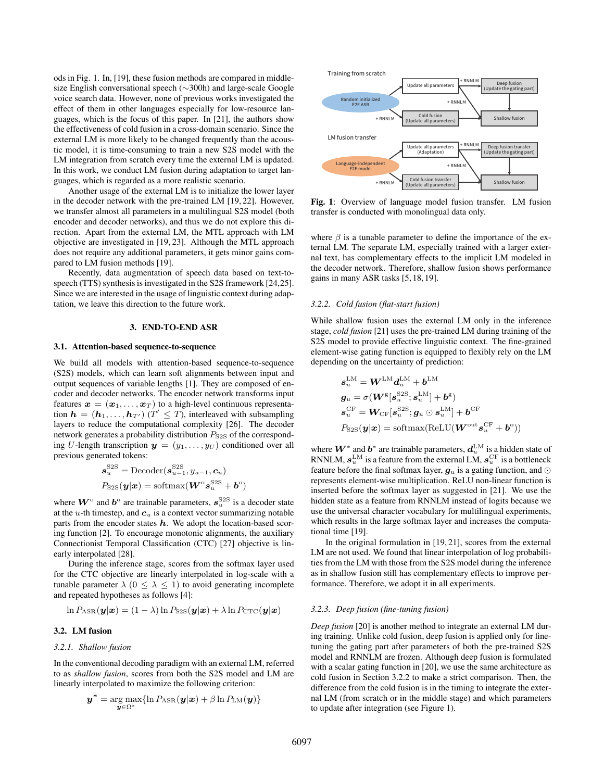ods in Fig. 1. In, [19], these fusion methods are compared in middlesize English conversational speech (∼300h) and large-scale Google voice search data. However, none of previous works investigated the effect of them in other languages especially for low-resource languages, which is the focus of this paper. In [21], the authors show the effectiveness of cold fusion in a cross-domain scenario. Since the external LM is more likely to be changed frequently than the acoustic model, it is time-consuming to train a new S2S model with the LM integration from scratch every time the external LM is updated. In this work, we conduct LM fusion during adaptation to target languages, which is regarded as a more realistic scenario.

Another usage of the external LM is to initialize the lower layer in the decoder network with the pre-trained LM [19, 22]. However, we transfer almost all parameters in a multilingual S2S model (both encoder and decoder networks), and thus we do not explore this direction. Apart from the external LM, the MTL approach with LM objective are investigated in [19, 23]. Although the MTL approach does not require any additional parameters, it gets minor gains compared to LM fusion methods [19].

Recently, data augmentation of speech data based on text-tospeech (TTS) synthesis is investigated in the S2S framework [24,25]. Since we are interested in the usage of linguistic context during adaptation, we leave this direction to the future work.

## 3. END-TO-END ASR

## 3.1. Attention-based sequence-to-sequence

We build all models with attention-based sequence-to-sequence (S2S) models, which can learn soft alignments between input and output sequences of variable lengths [1]. They are composed of encoder and decoder networks. The encoder network transforms input features  $\mathbf{x} = (\mathbf{x}_1, \dots, \mathbf{x}_T)$  to a high-level continuous representation  $h = (h_1, \ldots, h_{T'})$  ( $T' \leq T$ ), interleaved with subsampling layers to reduce the computational complexity [26]. The decoder network generates a probability distribution  $P_{S2S}$  of the corresponding U-length transcription  $y = (y_1, \ldots, y_U)$  conditioned over all previous generated tokens:

$$
\mathbf{s}_{u}^{\text{S2S}} = \text{Decoder}(\mathbf{s}_{u-1}^{\text{S2S}}, y_{u-1}, \mathbf{c}_{u})
$$

$$
P_{\text{S2S}}(\mathbf{y}|\mathbf{x}) = \text{softmax}(\mathbf{W}^{\text{o}} \mathbf{s}_{u}^{\text{S2S}} + \mathbf{b}^{\text{o}})
$$

where  $W^{\circ}$  and  $b^{\circ}$  are trainable parameters,  $s_u^{\text{S2S}}$  is a decoder state at the u-th timestep, and  $c<sub>u</sub>$  is a context vector summarizing notable parts from the encoder states  $h$ . We adopt the location-based scoring function [2]. To encourage monotonic alignments, the auxiliary Connectionist Temporal Classification (CTC) [27] objective is linearly interpolated [28].

During the inference stage, scores from the softmax layer used for the CTC objective are linearly interpolated in log-scale with a tunable parameter  $\lambda$  ( $0 \leq \lambda \leq 1$ ) to avoid generating incomplete and repeated hypotheses as follows [4]:

$$
\ln P_{\rm ASR}(\boldsymbol{y}|\boldsymbol{x}) = (1 - \lambda) \ln P_{\rm S2S}(\boldsymbol{y}|\boldsymbol{x}) + \lambda \ln P_{\rm CTC}(\boldsymbol{y}|\boldsymbol{x})
$$

## 3.2. LM fusion

#### *3.2.1. Shallow fusion*

In the conventional decoding paradigm with an external LM, referred to as *shallow fusion*, scores from both the S2S model and LM are linearly interpolated to maximize the following criterion:

$$
\boldsymbol{y}^* = \argmax_{\boldsymbol{y}\in\Omega^*} \{\ln P_{\mathrm{ASR}}(\boldsymbol{y}|\boldsymbol{x}) + \beta \ln P_{\mathrm{LM}}(\boldsymbol{y})\}
$$



Fig. 1: Overview of language model fusion transfer. LM fusion transfer is conducted with monolingual data only.

where  $\beta$  is a tunable parameter to define the importance of the external LM. The separate LM, especially trained with a larger external text, has complementary effects to the implicit LM modeled in the decoder network. Therefore, shallow fusion shows performance gains in many ASR tasks [5, 18, 19].

## *3.2.2. Cold fusion (flat-start fusion)*

While shallow fusion uses the external LM only in the inference stage, *cold fusion* [21] uses the pre-trained LM during training of the S2S model to provide effective linguistic context. The fine-grained element-wise gating function is equipped to flexibly rely on the LM depending on the uncertainty of prediction:

$$
\begin{aligned} \boldsymbol{s}_u^\mathrm{LM} &= \boldsymbol{W}^\mathrm{LM} \boldsymbol{d}_u^\mathrm{LM} + \boldsymbol{b}^\mathrm{LM} \\ \boldsymbol{g}_u &= \sigma(\boldsymbol{W}^\mathrm{g}[\boldsymbol{s}_u^\mathrm{SSS}; \boldsymbol{s}_u^\mathrm{LM}] + \boldsymbol{b}^\mathrm{g}) \\ \boldsymbol{s}_u^\mathrm{CF} &= \boldsymbol{W}_\mathrm{CF}[\boldsymbol{s}_u^\mathrm{S2S}; \boldsymbol{g}_u \odot \boldsymbol{s}_u^\mathrm{LM}] + \boldsymbol{b}^\mathrm{CF} \\ P_\mathrm{S2S}(\boldsymbol{y}|\boldsymbol{x}) &= \mathrm{softmax}(\mathrm{ReLU}(\boldsymbol{W}^\mathrm{out} \boldsymbol{s}_u^\mathrm{CF} + \boldsymbol{b}^\mathrm{o})) \end{aligned}
$$

where  $\boldsymbol{W}^{*}$  and  $\boldsymbol{b}^{*}$  are trainable parameters,  $\boldsymbol{d}_{u}^{\text{LM}}$  is a hidden state of RNNLM,  $\boldsymbol{s}_u^{\text{LM}}$  is a feature from the external LM,  $\boldsymbol{s}_u^{\text{CF}}$  is a bottleneck feature before the final softmax layer,  $g_u$  is a gating function, and ⊙ represents element-wise multiplication. ReLU non-linear function is inserted before the softmax layer as suggested in [21]. We use the hidden state as a feature from RNNLM instead of logits because we use the universal character vocabulary for multilingual experiments, which results in the large softmax layer and increases the computational time [19].

In the original formulation in [19, 21], scores from the external LM are not used. We found that linear interpolation of log probabilities from the LM with those from the S2S model during the inference as in shallow fusion still has complementary effects to improve performance. Therefore, we adopt it in all experiments.

## *3.2.3. Deep fusion (fine-tuning fusion)*

*Deep fusion* [20] is another method to integrate an external LM during training. Unlike cold fusion, deep fusion is applied only for finetuning the gating part after parameters of both the pre-trained S2S model and RNNLM are frozen. Although deep fusion is formulated with a scalar gating function in [20], we use the same architecture as cold fusion in Section 3.2.2 to make a strict comparison. Then, the difference from the cold fusion is in the timing to integrate the external LM (from scratch or in the middle stage) and which parameters to update after integration (see Figure 1).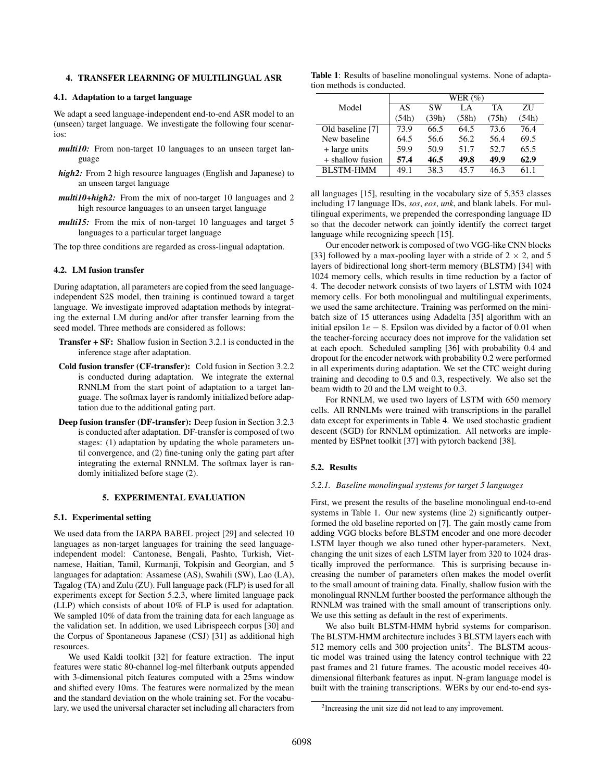## 4. TRANSFER LEARNING OF MULTILINGUAL ASR

## 4.1. Adaptation to a target language

We adapt a seed language-independent end-to-end ASR model to an (unseen) target language. We investigate the following four scenarios:

- *multi10:* From non-target 10 languages to an unseen target language
- *high2:* From 2 high resource languages (English and Japanese) to an unseen target language
- *multi10+high2:* From the mix of non-target 10 languages and 2 high resource languages to an unseen target language
- *multi15:* From the mix of non-target 10 languages and target 5 languages to a particular target language

The top three conditions are regarded as cross-lingual adaptation.

# 4.2. LM fusion transfer

During adaptation, all parameters are copied from the seed languageindependent S2S model, then training is continued toward a target language. We investigate improved adaptation methods by integrating the external LM during and/or after transfer learning from the seed model. Three methods are considered as follows:

- **Transfer + SF:** Shallow fusion in Section 3.2.1 is conducted in the inference stage after adaptation.
- Cold fusion transfer (CF-transfer): Cold fusion in Section 3.2.2 is conducted during adaptation. We integrate the external RNNLM from the start point of adaptation to a target language. The softmax layer is randomly initialized before adaptation due to the additional gating part.
- Deep fusion transfer (DF-transfer): Deep fusion in Section 3.2.3 is conducted after adaptation. DF-transfer is composed of two stages: (1) adaptation by updating the whole parameters until convergence, and (2) fine-tuning only the gating part after integrating the external RNNLM. The softmax layer is randomly initialized before stage (2).

## 5. EXPERIMENTAL EVALUATION

#### 5.1. Experimental setting

We used data from the IARPA BABEL project [29] and selected 10 languages as non-target languages for training the seed languageindependent model: Cantonese, Bengali, Pashto, Turkish, Vietnamese, Haitian, Tamil, Kurmanji, Tokpisin and Georgian, and 5 languages for adaptation: Assamese (AS), Swahili (SW), Lao (LA), Tagalog (TA) and Zulu (ZU). Full language pack (FLP) is used for all experiments except for Section 5.2.3, where limited language pack (LLP) which consists of about 10% of FLP is used for adaptation. We sampled 10% of data from the training data for each language as the validation set. In addition, we used Librispeech corpus [30] and the Corpus of Spontaneous Japanese (CSJ) [31] as additional high resources.

We used Kaldi toolkit [32] for feature extraction. The input features were static 80-channel log-mel filterbank outputs appended with 3-dimensional pitch features computed with a 25ms window and shifted every 10ms. The features were normalized by the mean and the standard deviation on the whole training set. For the vocabulary, we used the universal character set including all characters from

Table 1: Results of baseline monolingual systems. None of adaptation methods is conducted.

|                  | WER $(\%)$ |           |       |       |       |  |  |
|------------------|------------|-----------|-------|-------|-------|--|--|
| Model            | AS         | <b>SW</b> | LA    | TA    | ΖU    |  |  |
|                  | (54h)      | (39h)     | (58h) | (75h) | (54h) |  |  |
| Old baseline [7] | 73.9       | 66.5      | 64.5  | 73.6  | 76.4  |  |  |
| New baseline     | 64.5       | 56.6      | 56.2  | 56.4  | 69.5  |  |  |
| + large units    | 59.9       | 50.9      | 51.7  | 52.7  | 65.5  |  |  |
| + shallow fusion | 57.4       | 46.5      | 49.8  | 49.9  | 62.9  |  |  |
| <b>BLSTM-HMM</b> | 49.1       | 38.3      | 45 7  | 46.3  | 61 1  |  |  |

all languages [15], resulting in the vocabulary size of 5,353 classes including 17 language IDs, *sos*, *eos*, *unk*, and blank labels. For multilingual experiments, we prepended the corresponding language ID so that the decoder network can jointly identify the correct target language while recognizing speech [15].

Our encoder network is composed of two VGG-like CNN blocks [33] followed by a max-pooling layer with a stride of  $2 \times 2$ , and 5 layers of bidirectional long short-term memory (BLSTM) [34] with 1024 memory cells, which results in time reduction by a factor of 4. The decoder network consists of two layers of LSTM with 1024 memory cells. For both monolingual and multilingual experiments, we used the same architecture. Training was performed on the minibatch size of 15 utterances using Adadelta [35] algorithm with an initial epsilon  $1e - 8$ . Epsilon was divided by a factor of 0.01 when the teacher-forcing accuracy does not improve for the validation set at each epoch. Scheduled sampling [36] with probability 0.4 and dropout for the encoder network with probability 0.2 were performed in all experiments during adaptation. We set the CTC weight during training and decoding to 0.5 and 0.3, respectively. We also set the beam width to 20 and the LM weight to 0.3.

For RNNLM, we used two layers of LSTM with 650 memory cells. All RNNLMs were trained with transcriptions in the parallel data except for experiments in Table 4. We used stochastic gradient descent (SGD) for RNNLM optimization. All networks are implemented by ESPnet toolkit [37] with pytorch backend [38].

## 5.2. Results

#### *5.2.1. Baseline monolingual systems for target 5 languages*

First, we present the results of the baseline monolingual end-to-end systems in Table 1. Our new systems (line 2) significantly outperformed the old baseline reported on [7]. The gain mostly came from adding VGG blocks before BLSTM encoder and one more decoder LSTM layer though we also tuned other hyper-parameters. Next, changing the unit sizes of each LSTM layer from 320 to 1024 drastically improved the performance. This is surprising because increasing the number of parameters often makes the model overfit to the small amount of training data. Finally, shallow fusion with the monolingual RNNLM further boosted the performance although the RNNLM was trained with the small amount of transcriptions only. We use this setting as default in the rest of experiments.

We also built BLSTM-HMM hybrid systems for comparison. The BLSTM-HMM architecture includes 3 BLSTM layers each with 512 memory cells and 300 projection units<sup>2</sup>. The BLSTM acoustic model was trained using the latency control technique with 22 past frames and 21 future frames. The acoustic model receives 40 dimensional filterbank features as input. N-gram language model is built with the training transcriptions. WERs by our end-to-end sys-

<sup>&</sup>lt;sup>2</sup>Increasing the unit size did not lead to any improvement.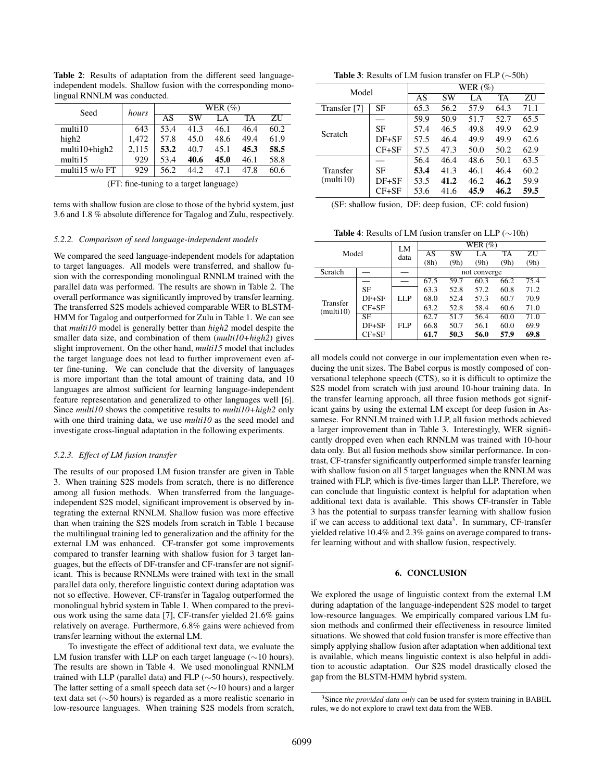Table 2: Results of adaptation from the different seed languageindependent models. Shallow fusion with the corresponding monolingual RNNLM was conducted.

| Seed                               | hours | WER $(\%)$ |           |      |      |      |  |
|------------------------------------|-------|------------|-----------|------|------|------|--|
|                                    |       | AS         | <b>SW</b> | LA   | TA   | ΖU   |  |
| multi10                            | 643   | 53.4       | 41.3      | 46.1 | 46.4 | 60.2 |  |
| high2                              | 1.472 | 57.8       | 45.0      | 48.6 | 49.4 | 61.9 |  |
| multi10+high2                      | 2.115 | 53.2       | 40.7      | 45.1 | 45.3 | 58.5 |  |
| multi15                            | 929   | 53.4       | 40.6      | 45.0 | 46.1 | 58.8 |  |
| multi15 $w$ /o FT                  | 929   | 56.2       | 44.2      | 47.1 | 47.8 | 60.6 |  |
| $\blacksquare$<br>$\sim$<br>$\sim$ |       |            |           |      |      |      |  |

(FT: fine-tuning to a target language)

tems with shallow fusion are close to those of the hybrid system, just 3.6 and 1.8 % absolute difference for Tagalog and Zulu, respectively.

### *5.2.2. Comparison of seed language-independent models*

We compared the seed language-independent models for adaptation to target languages. All models were transferred, and shallow fusion with the corresponding monolingual RNNLM trained with the parallel data was performed. The results are shown in Table 2. The overall performance was significantly improved by transfer learning. The transferred S2S models achieved comparable WER to BLSTM-HMM for Tagalog and outperformed for Zulu in Table 1. We can see that *multi10* model is generally better than *high2* model despite the smaller data size, and combination of them (*multi10+high2*) gives slight improvement. On the other hand, *multi15* model that includes the target language does not lead to further improvement even after fine-tuning. We can conclude that the diversity of languages is more important than the total amount of training data, and 10 languages are almost sufficient for learning language-independent feature representation and generalized to other languages well [6]. Since *multi10* shows the competitive results to *multi10+high2* only with one third training data, we use *multi10* as the seed model and investigate cross-lingual adaptation in the following experiments.

## *5.2.3. Effect of LM fusion transfer*

The results of our proposed LM fusion transfer are given in Table 3. When training S2S models from scratch, there is no difference among all fusion methods. When transferred from the languageindependent S2S model, significant improvement is observed by integrating the external RNNLM. Shallow fusion was more effective than when training the S2S models from scratch in Table 1 because the multilingual training led to generalization and the affinity for the external LM was enhanced. CF-transfer got some improvements compared to transfer learning with shallow fusion for 3 target languages, but the effects of DF-transfer and CF-transfer are not significant. This is because RNNLMs were trained with text in the small parallel data only, therefore linguistic context during adaptation was not so effective. However, CF-transfer in Tagalog outperformed the monolingual hybrid system in Table 1. When compared to the previous work using the same data [7], CF-transfer yielded 21.6% gains relatively on average. Furthermore, 6.8% gains were achieved from transfer learning without the external LM.

To investigate the effect of additional text data, we evaluate the LM fusion transfer with LLP on each target language (∼10 hours). The results are shown in Table 4. We used monolingual RNNLM trained with LLP (parallel data) and FLP (∼50 hours), respectively. The latter setting of a small speech data set (∼10 hours) and a larger text data set (∼50 hours) is regarded as a more realistic scenario in low-resource languages. When training S2S models from scratch,

Table 3: Results of LM fusion transfer on FLP (∼50h)

| Model                 |           | WER $(\%)$ |      |      |      |      |  |  |
|-----------------------|-----------|------------|------|------|------|------|--|--|
|                       |           | AS         | SW   | LA   | TA   | ΖU   |  |  |
| Transfer [7]          | SF        | 65.3       | 56.2 | 57.9 | 64.3 | 71.1 |  |  |
| Scratch               |           | 59.9       | 50.9 | 51.7 | 52.7 | 65.5 |  |  |
|                       | SF        | 57.4       | 46.5 | 49.8 | 49.9 | 62.9 |  |  |
|                       | $DF + SF$ | 57.5       | 46.4 | 49.9 | 49.9 | 62.6 |  |  |
|                       | $CF + SF$ | 57.5       | 47.3 | 50.0 | 50.2 | 62.9 |  |  |
| Transfer<br>(multi10) |           | 56.4       | 46.4 | 48.6 | 50.1 | 63.5 |  |  |
|                       | SF        | 53.4       | 41.3 | 46.1 | 46.4 | 60.2 |  |  |
|                       | $DF+SF$   | 53.5       | 41.2 | 46.2 | 46.2 | 59.9 |  |  |
|                       | $CF + SF$ | 53.6       | 41.6 | 45.9 | 46.2 | 59.5 |  |  |

Table 4: Results of LM fusion transfer on LLP (∼10h)

| Model                 |           | LM   | WER $(\%)$   |      |      |      |      |
|-----------------------|-----------|------|--------------|------|------|------|------|
|                       |           | data | AS           | SW   | LA   | TA   | ZU   |
|                       |           |      | (8h)         | (9h) | (9h) | (9h) | (9h) |
| Scratch               |           |      | not converge |      |      |      |      |
| Transfer<br>(multi10) |           |      | 67.5         | 59.7 | 60.3 | 66.2 | 75.4 |
|                       | SF        | LLP  | 63.3         | 52.8 | 57.2 | 60.8 | 71.2 |
|                       | $DF + SF$ |      | 68.0         | 52.4 | 57.3 | 60.7 | 70.9 |
|                       | $CF + SF$ |      | 63.2         | 52.8 | 58.4 | 60.6 | 71.0 |
|                       | SF        |      | 62.7         | 51.7 | 56.4 | 60.0 | 71.0 |
|                       | $DF + SF$ | FLP  | 66.8         | 50.7 | 56.1 | 60.0 | 69.9 |
|                       | $CF + SF$ |      | 61.7         | 50.3 | 56.0 | 57.9 | 69.8 |

all models could not converge in our implementation even when reducing the unit sizes. The Babel corpus is mostly composed of conversational telephone speech (CTS), so it is difficult to optimize the S2S model from scratch with just around 10-hour training data. In the transfer learning approach, all three fusion methods got significant gains by using the external LM except for deep fusion in Assamese. For RNNLM trained with LLP, all fusion methods achieved a larger improvement than in Table 3. Interestingly, WER significantly dropped even when each RNNLM was trained with 10-hour data only. But all fusion methods show similar performance. In contrast, CF-transfer significantly outperformed simple transfer learning with shallow fusion on all 5 target languages when the RNNLM was trained with FLP, which is five-times larger than LLP. Therefore, we can conclude that linguistic context is helpful for adaptation when additional text data is available. This shows CF-transfer in Table 3 has the potential to surpass transfer learning with shallow fusion if we can access to additional text data<sup>3</sup>. In summary, CF-transfer yielded relative 10.4% and 2.3% gains on average compared to transfer learning without and with shallow fusion, respectively.

## 6. CONCLUSION

We explored the usage of linguistic context from the external LM during adaptation of the language-independent S2S model to target low-resource languages. We empirically compared various LM fusion methods and confirmed their effectiveness in resource limited situations. We showed that cold fusion transfer is more effective than simply applying shallow fusion after adaptation when additional text is available, which means linguistic context is also helpful in addition to acoustic adaptation. Our S2S model drastically closed the gap from the BLSTM-HMM hybrid system.

<sup>&</sup>lt;sup>3</sup>Since the provided data only can be used for system training in BABEL rules, we do not explore to crawl text data from the WEB.